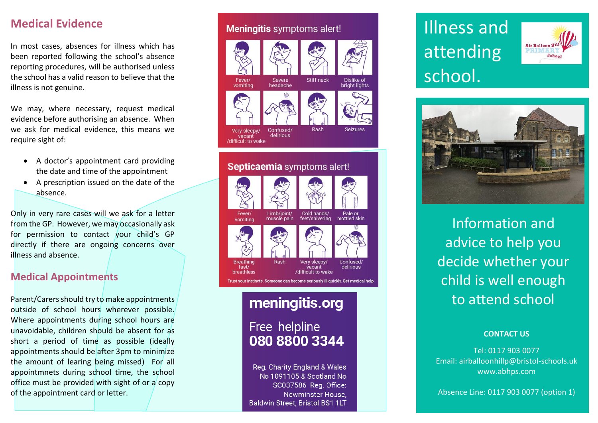### **Medical Evidence**

In most cases, absences for illness which has been reported following the school's absence reporting procedures, will be authorised unless the school has a valid reason to believe that the illness is not genuine.

We may, where necessary, request medical evidence before authorising an absence. When we ask for medical evidence, this means we require sight of:

- A doctor's appointment card providing the date and time of the appointment
- A prescription issued on the date of the absence.

Only in very rare cases will we ask for a letter from the GP. However, we may occasionally ask for permission to contact your child's GP directly if there are ongoing concerns over illness and absence.

### **Medical Appointments**

Parent/Carers should try to make appointments outside of school hours wherever possible. Where appointments during school hours are unavoidable, children should be absent for as short a period of time as possible (ideally appointments should be after 3pm to minimize the amount of learing being missed) For all appointmnets during school time, the school office must be provided with sight of or a copy of the appointment card or letter.

### **Meningitis** symptoms alert!



### Septicaemia symptoms alert!



## meningitis.org

Free helpline 080 8800 3344

Reg. Charity England & Wales No 1091105 & Scotland No SC037586 Reg. Office: Newminster House. Baldwin Street, Bristol BS1 1LT

# Illness and attending school .





Information and advice to help you decide whether your child is well enough to attend school

#### **CONTACT US**

Tel: 0117 903 0077 Email: airballoonhillp@bristol -schools.uk www.abhps.com

Absence Line: 0117 903 0077 (option 1)